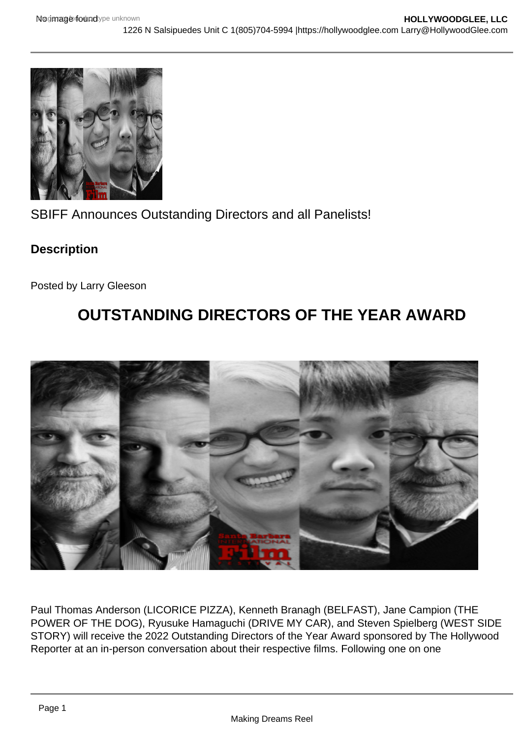SBIFF Announces Outstanding Directors and all Panelists!

**Description** 

Posted by Larry Gleeson

## OUTSTANDING DIRECTORS OF THE YEAR AWARD

Paul Thomas Anderson (LICORICE PIZZA), Kenneth Branagh (BELFAST), Jane Campion (THE POWER OF THE DOG), Ryusuke Hamaguchi (DRIVE MY CAR), and Steven Spielberg (WEST SIDE STORY) will receive the 2022 Outstanding Directors of the Year Award sponsored by The Hollywood Reporter at an in-person conversation about their respective films. Following one on one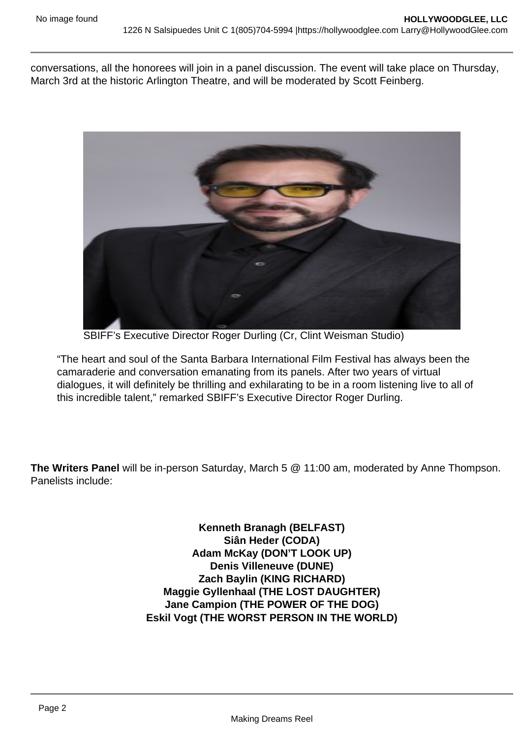conversations, all the honorees will join in a panel discussion. The event will take place on Thursday, March 3rd at the historic Arlington Theatre, and will be moderated by Scott Feinberg.

SBIFF's Executive Director Roger Durling (Cr, Clint Weisman Studio)

"The heart and soul of the Santa Barbara International Film Festival has always been the camaraderie and conversation emanating from its panels. After two years of virtual dialogues, it will definitely be thrilling and exhilarating to be in a room listening live to all of this incredible talent," remarked SBIFF's Executive Director Roger Durling.

The Writers Panel will be in-person Saturday, March 5 @ 11:00 am, moderated by Anne Thompson. Panelists include:

> Kenneth Branagh (BELFAST) Siân Heder (CODA) Adam McKay (DON'T LOOK UP) Denis Villeneuve (DUNE) Zach Baylin (KING RICHARD) Maggie Gyllenhaal (THE LOST DAUGHTER) Jane Campion (THE POWER OF THE DOG) Eskil Vogt (THE WORST PERSON IN THE WORLD)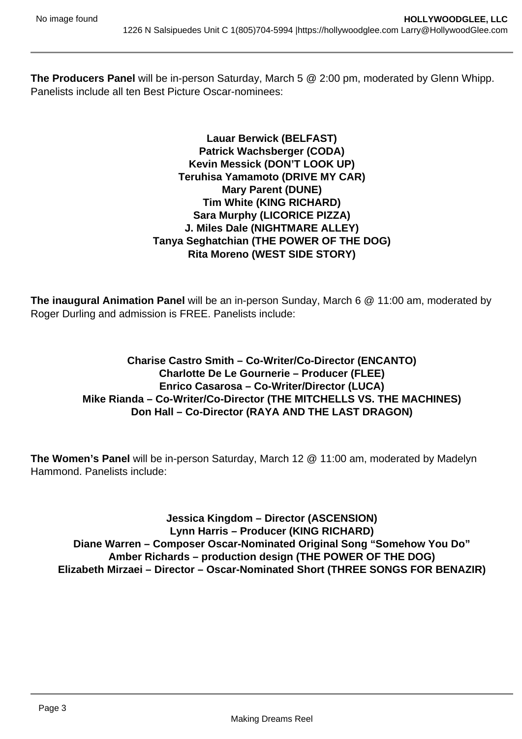**The Producers Panel** will be in-person Saturday, March 5 @ 2:00 pm, moderated by Glenn Whipp. Panelists include all ten Best Picture Oscar-nominees:

> **Lauar Berwick (BELFAST) Patrick Wachsberger (CODA) Kevin Messick (DON'T LOOK UP) Teruhisa Yamamoto (DRIVE MY CAR) Mary Parent (DUNE) Tim White (KING RICHARD) Sara Murphy (LICORICE PIZZA) J. Miles Dale (NIGHTMARE ALLEY) Tanya Seghatchian (THE POWER OF THE DOG) Rita Moreno (WEST SIDE STORY)**

**The inaugural Animation Panel** will be an in-person Sunday, March 6 @ 11:00 am, moderated by Roger Durling and admission is FREE. Panelists include:

## **Charise Castro Smith – Co-Writer/Co-Director (ENCANTO) Charlotte De Le Gournerie – Producer (FLEE) Enrico Casarosa – Co-Writer/Director (LUCA) Mike Rianda – Co-Writer/Co-Director (THE MITCHELLS VS. THE MACHINES) Don Hall – Co-Director (RAYA AND THE LAST DRAGON)**

**The Women's Panel** will be in-person Saturday, March 12 @ 11:00 am, moderated by Madelyn Hammond. Panelists include:

**Jessica Kingdom – Director (ASCENSION) Lynn Harris – Producer (KING RICHARD) Diane Warren – Composer Oscar-Nominated Original Song "Somehow You Do" Amber Richards – production design (THE POWER OF THE DOG) Elizabeth Mirzaei – Director – Oscar-Nominated Short (THREE SONGS FOR BENAZIR)**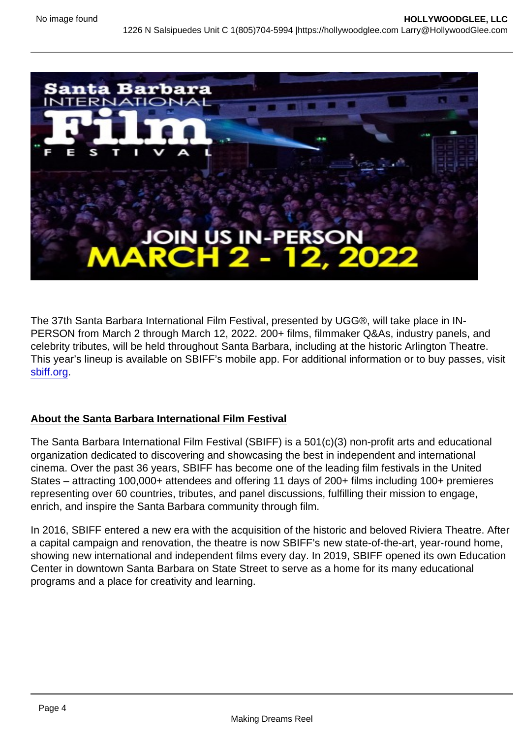The 37th Santa Barbara International Film Festival, presented by UGG®, will take place in IN-PERSON from March 2 through March 12, 2022. 200+ films, filmmaker Q&As, industry panels, and celebrity tributes, will be held throughout Santa Barbara, including at the historic Arlington Theatre. This year's lineup is available on SBIFF's mobile app. For additional information or to buy passes, visit [sbiff.org.](http://sbiff.org)

## About the Santa Barbara International Film Festival

The Santa Barbara International Film Festival (SBIFF) is a 501(c)(3) non-profit arts and educational organization dedicated to discovering and showcasing the best in independent and international cinema. Over the past 36 years, SBIFF has become one of the leading film festivals in the United States – attracting 100,000+ attendees and offering 11 days of 200+ films including 100+ premieres representing over 60 countries, tributes, and panel discussions, fulfilling their mission to engage, enrich, and inspire the Santa Barbara community through film.

In 2016, SBIFF entered a new era with the acquisition of the historic and beloved Riviera Theatre. After a capital campaign and renovation, the theatre is now SBIFF's new state-of-the-art, year-round home, showing new international and independent films every day. In 2019, SBIFF opened its own Education Center in downtown Santa Barbara on State Street to serve as a home for its many educational programs and a place for creativity and learning.